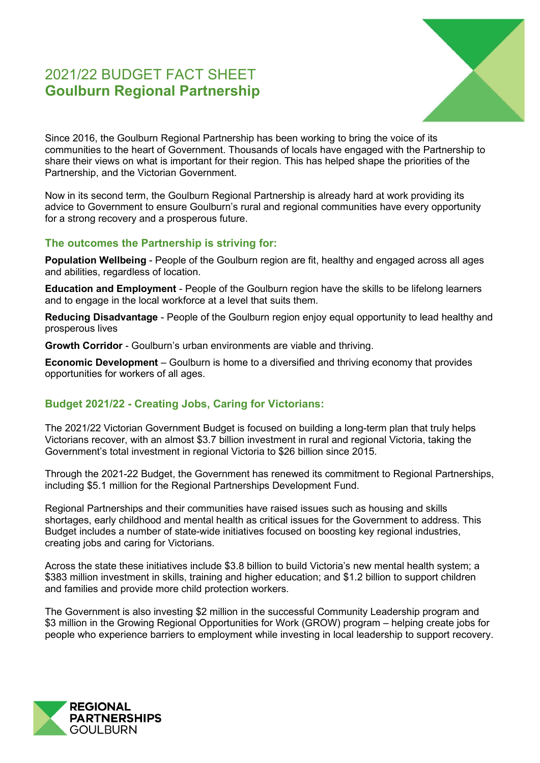# 2021/22 BUDGET FACT SHEET **Goulburn Regional Partnership**



Since 2016, the Goulburn Regional Partnership has been working to bring the voice of its communities to the heart of Government. Thousands of locals have engaged with the Partnership to share their views on what is important for their region. This has helped shape the priorities of the Partnership, and the Victorian Government.

Now in its second term, the Goulburn Regional Partnership is already hard at work providing its advice to Government to ensure Goulburn's rural and regional communities have every opportunity for a strong recovery and a prosperous future.

#### **The outcomes the Partnership is striving for:**

**Population Wellbeing** - People of the Goulburn region are fit, healthy and engaged across all ages and abilities, regardless of location.

**Education and Employment** - People of the Goulburn region have the skills to be lifelong learners and to engage in the local workforce at a level that suits them.

**Reducing Disadvantage** - People of the Goulburn region enjoy equal opportunity to lead healthy and prosperous lives

**Growth Corridor** - Goulburn's urban environments are viable and thriving.

**Economic Development** – Goulburn is home to a diversified and thriving economy that provides opportunities for workers of all ages.

## **Budget 2021/22 - Creating Jobs, Caring for Victorians:**

The 2021/22 Victorian Government Budget is focused on building a long-term plan that truly helps Victorians recover, with an almost \$3.7 billion investment in rural and regional Victoria, taking the Government's total investment in regional Victoria to \$26 billion since 2015.

Through the 2021-22 Budget, the Government has renewed its commitment to Regional Partnerships, including \$5.1 million for the Regional Partnerships Development Fund.

Regional Partnerships and their communities have raised issues such as housing and skills shortages, early childhood and mental health as critical issues for the Government to address. This Budget includes a number of state-wide initiatives focused on boosting key regional industries, creating jobs and caring for Victorians.

Across the state these initiatives include \$3.8 billion to build Victoria's new mental health system; a \$383 million investment in skills, training and higher education; and \$1.2 billion to support children and families and provide more child protection workers.

The Government is also investing \$2 million in the successful Community Leadership program and \$3 million in the Growing Regional Opportunities for Work (GROW) program – helping create jobs for people who experience barriers to employment while investing in local leadership to support recovery.

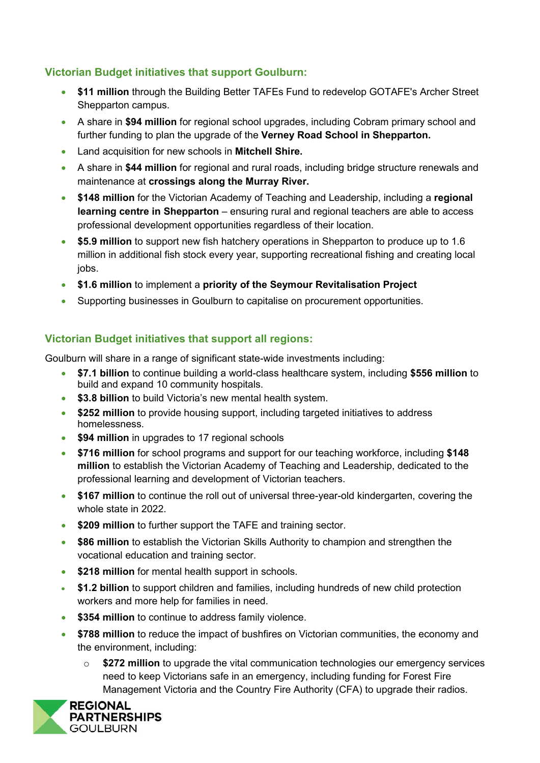## **Victorian Budget initiatives that support Goulburn:**

- **\$11 million** through the Building Better TAFEs Fund to redevelop GOTAFE's Archer Street Shepparton campus.
- A share in **\$94 million** for regional school upgrades, including Cobram primary school and further funding to plan the upgrade of the **Verney Road School in Shepparton.**
- Land acquisition for new schools in **Mitchell Shire.**
- A share in **\$44 million** for regional and rural roads, including bridge structure renewals and maintenance at **crossings along the Murray River.**
- **\$148 million** for the Victorian Academy of Teaching and Leadership, including a **regional learning centre in Shepparton** – ensuring rural and regional teachers are able to access professional development opportunities regardless of their location.
- **\$5.9 million** to support new fish hatchery operations in Shepparton to produce up to 1.6 million in additional fish stock every year, supporting recreational fishing and creating local jobs.
- **\$1.6 million** to implement a **priority of the Seymour Revitalisation Project**
- Supporting businesses in Goulburn to capitalise on procurement opportunities.

#### **Victorian Budget initiatives that support all regions:**

Goulburn will share in a range of significant state-wide investments including:

- **\$7.1 billion** to continue building a world-class healthcare system, including **\$556 million** to build and expand 10 community hospitals.
- **\$3.8 billion** to build Victoria's new mental health system.
- **\$252 million** to provide housing support, including targeted initiatives to address homelessness.
- **\$94 million** in upgrades to 17 regional schools
- **\$716 million** for school programs and support for our teaching workforce, including **\$148 million** to establish the Victorian Academy of Teaching and Leadership, dedicated to the professional learning and development of Victorian teachers.
- **\$167 million** to continue the roll out of universal three-year-old kindergarten, covering the whole state in 2022.
- **\$209 million** to further support the TAFE and training sector.
- **\$86 million** to establish the Victorian Skills Authority to champion and strengthen the vocational education and training sector.
- **\$218 million** for mental health support in schools.
- **\$1.2 billion** to support children and families, including hundreds of new child protection workers and more help for families in need.
- **\$354 million** to continue to address family violence.
- **\$788 million** to reduce the impact of bushfires on Victorian communities, the economy and the environment, including:
	- o **\$272 million** to upgrade the vital communication technologies our emergency services need to keep Victorians safe in an emergency, including funding for Forest Fire Management Victoria and the Country Fire Authority (CFA) to upgrade their radios.